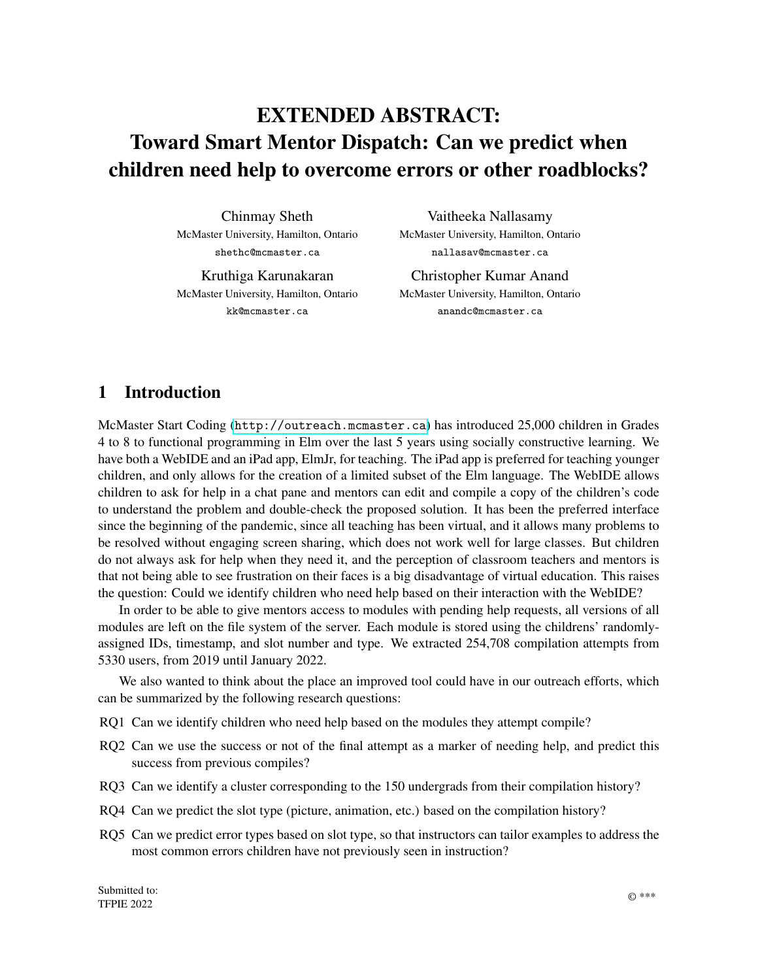# EXTENDED ABSTRACT: Toward Smart Mentor Dispatch: Can we predict when children need help to overcome errors or other roadblocks?

Chinmay Sheth McMaster University, Hamilton, Ontario shethc@mcmaster.ca

Kruthiga Karunakaran McMaster University, Hamilton, Ontario kk@mcmaster.ca

Vaitheeka Nallasamy McMaster University, Hamilton, Ontario nallasav@mcmaster.ca

Christopher Kumar Anand McMaster University, Hamilton, Ontario anandc@mcmaster.ca

# 1 Introduction

McMaster Start Coding (<http://outreach.mcmaster.ca>) has introduced 25,000 children in Grades 4 to 8 to functional programming in Elm over the last 5 years using socially constructive learning. We have both a WebIDE and an iPad app, ElmJr, for teaching. The iPad app is preferred for teaching younger children, and only allows for the creation of a limited subset of the Elm language. The WebIDE allows children to ask for help in a chat pane and mentors can edit and compile a copy of the children's code to understand the problem and double-check the proposed solution. It has been the preferred interface since the beginning of the pandemic, since all teaching has been virtual, and it allows many problems to be resolved without engaging screen sharing, which does not work well for large classes. But children do not always ask for help when they need it, and the perception of classroom teachers and mentors is that not being able to see frustration on their faces is a big disadvantage of virtual education. This raises the question: Could we identify children who need help based on their interaction with the WebIDE?

In order to be able to give mentors access to modules with pending help requests, all versions of all modules are left on the file system of the server. Each module is stored using the childrens' randomlyassigned IDs, timestamp, and slot number and type. We extracted 254,708 compilation attempts from 5330 users, from 2019 until January 2022.

We also wanted to think about the place an improved tool could have in our outreach efforts, which can be summarized by the following research questions:

- RQ1 Can we identify children who need help based on the modules they attempt compile?
- RQ2 Can we use the success or not of the final attempt as a marker of needing help, and predict this success from previous compiles?
- RQ3 Can we identify a cluster corresponding to the 150 undergrads from their compilation history?
- RQ4 Can we predict the slot type (picture, animation, etc.) based on the compilation history?
- RQ5 Can we predict error types based on slot type, so that instructors can tailor examples to address the most common errors children have not previously seen in instruction?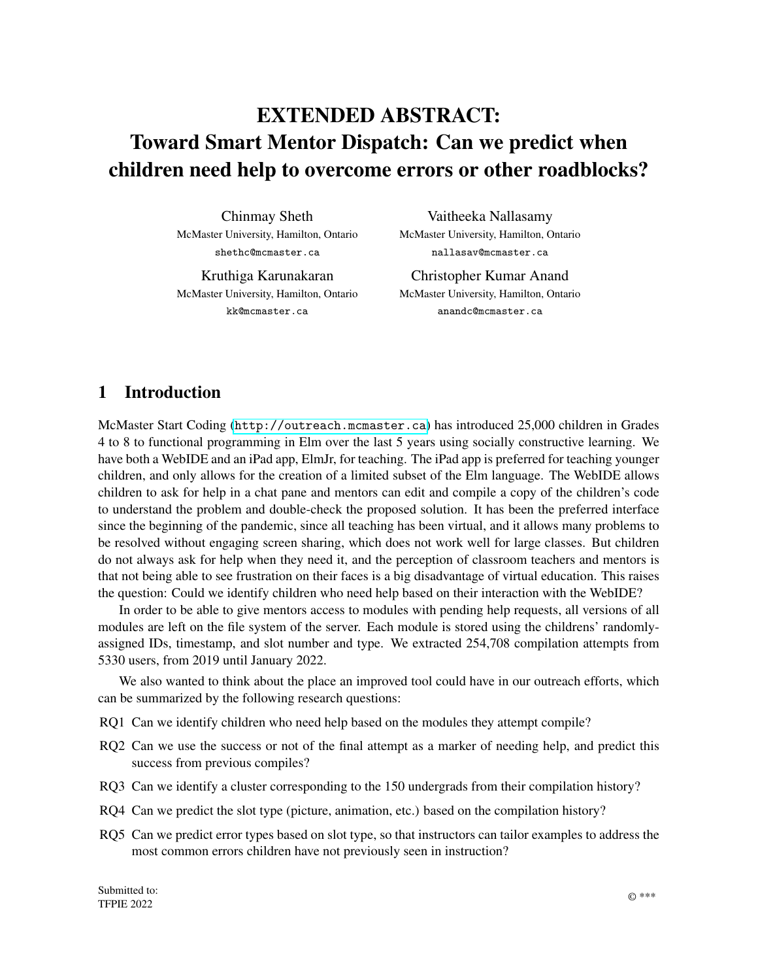RQ5 Can we create candidate metrics to predict classes with particular challenges (e.g., math below grade level, lack of engagement) which could be tested in future prospective studies?

The remaining sections will explain our *methods* for this design iteration, including app design, curriculum design and evaluation through observation and challenges; *results* of the challenges and analysis of the children's state diagrams; *discussion* of the results leading to proposed *future work*.

## 2 Background

#### 2.1 McMaster Start Coding Program

This McMaster University Outreach Program has been operating for the past decade. A mainly volunteer group of undergraduate and graduate students develop lesson plans and deliver free workshops to schools, public libraries, and community centres in the Hamilton, Ontario, Canada area [?]. During the COVID-19 pandemic, the program has shifted online and has taught a record number of students. Since 2016, we have taught over 22,000 students in nearly 1,000 classrooms. The goal of the program is to foster interest and ability in STEM subjects through coding, especially for those groups who are underrepresented in STEM subjects, such as girls and underprivileged youth.

To support these workshops, we have developed several tools, including:

- 1. An open-source Elm graphics library, GraphicSVG.
- 2. An online mentorship and Elm compilation system incorporating massive collaborative programming tasks, including the Wordathon<sup>1</sup> and comic book storytelling<sup>2</sup>.
- 3. A curriculum for introducing graphics programming designed to prepare children for algebra.
- 4. A type- and syntax-error-free projectional iPad Elm editor, ElmJr.

#### 2.2 WebIDE

In our "production" IDE, we deliberately do not store any identifiable information, so this dataset includes children who programmed during one class visit, a series of class visits, one or more summer camps, training sessions for potential undergraduate mentors and undergraduate students taking "Introduction to Software Design using Web Programming" (a first-year course for Computer Science students).

Using a video-game metaphor, children have access to different coding environments, originally with 10 slots available for different modules. Different slots hide some or all components in a working program. For example in Picture slots, the main function is hidden and no interaction is possible, instead children must define a myShapes top-level definition which must be a list of shapes. In Animation slots, this definition is a function with an input which is a record with a single field, the current time in seconds since the beginning of the unix epoch. This allows us to infer a lot about the aims and/or experience of the users from the slot type they are using.

In our "preproduction" IDE, slots are replaced by activities, with named modules, publication, importing and forking, with rules on visibility and moderation to be determined. We are also using emails as credential for undergraduates, making some users identifiable. So, in the future, we will have more information about the provenance of code, a finer-grained set of "activities" to replace the slot system,

<sup>1</sup>http://outreach.mcmaster.ca/#wordathon2019

<sup>2</sup>http://outreach.mcmaster.ca/#comics2019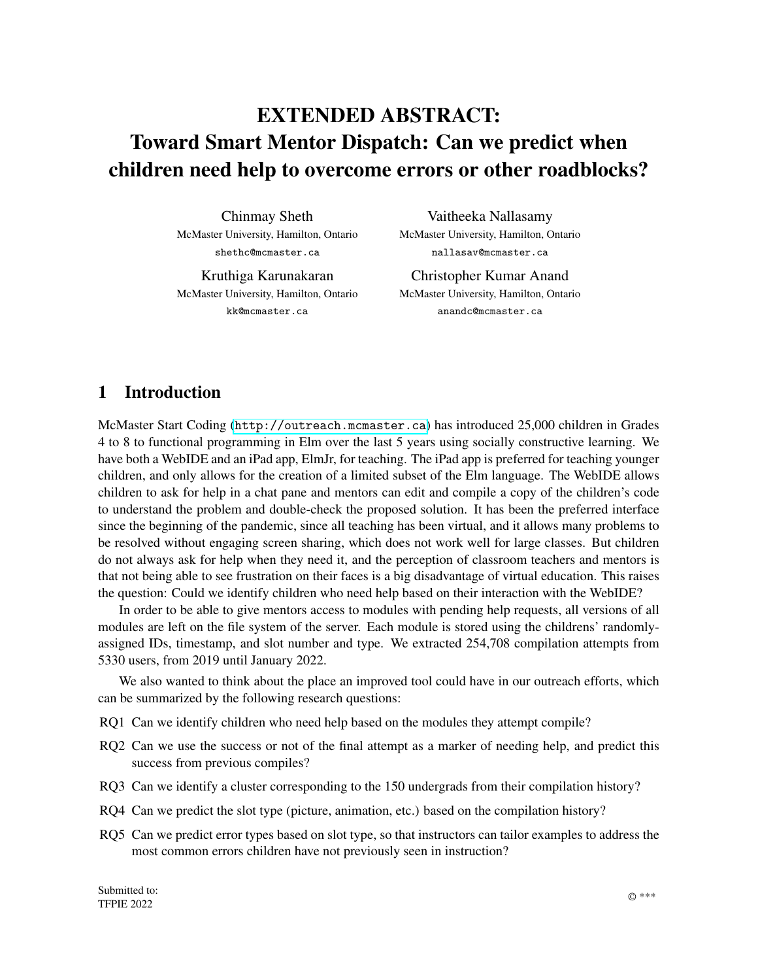

Figure 1: Slot names in a bubble chart; the size is relative to the number of errors in each slot.

and the ability to calculate and use real-time analytics. Undergraduate will also be able to do all of their work in the system, and easier sharing of code will incent them to do so.

### 3 Dataset

Figure 1 shows the partition of the data into different slots. Most of the data is associated with the basic slot types, (Picture, Animation and Game slots), with a significant number of compilations of WebPage slots which is unfortunately an aggregate of several different activities, including an html resume template, slots for creating word games (with access to hidden modules with word illustrations from the Wordathon slot), and slots for iteratively tracing Bezier curves or polygons, and finally slots to create word illustrations with a transparent outline indicating the viewport to which they will be clipped in the word games.

To try to answer RQ5, we explored error statistics using different visualizations in Tableau, and discovered many patterns. Figure 2 shows the numbers of errors for the most common slots, and most common errors, and in fact, there is large difference, so the first error to alert children to when they start in the Picture slot is UNFINISHED LIST. It probably makes sense for instructors to also discuss UNMATCHED COMMA which is most common in Picture slots, since they both involve lists, and Picture slots are about lists.

TYPE MISMATCH is most common in Game slots. This is partly because interaction requires the introduction to the model-view-update pattern in which types need to match. This is also the first time that records are used in our teaching. These introduce myriad type errors.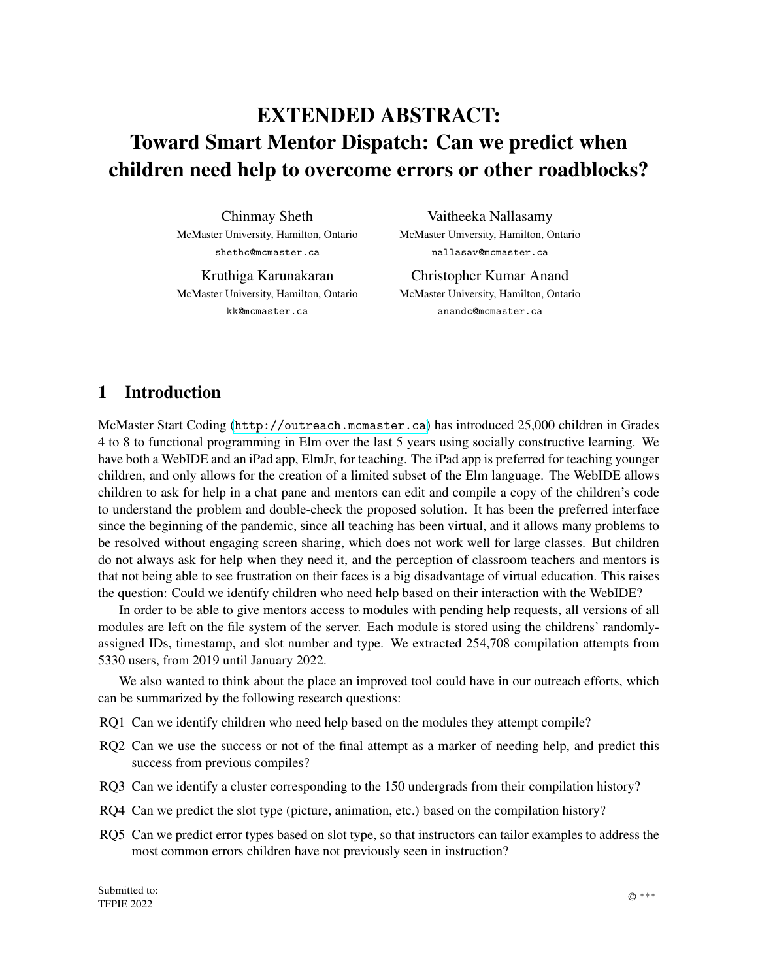

Figure 2: Most common error types for most frequently used slots.

Unfortunately, after covering these errors, the remaining errors are almost equally likely.

### 4 Predicting the Time to Resolve an Error

Our first attempt to predict when students might need help was to model the time between an error occuring and the error getting resolved. Figure 3 shows that the time to resolve a compiler error approximates a power law distribution. Even though most of the errors in the distribution took less than a minute to resolve, there are many errors which took considerable amount of time to resolve. Knowing this distribution, we can predict the time it would take a student to resolve an error and the chance they will resolve it on their own in a given amount of time. This distribution was determined from pre-2019 compilation data, but we believe the pattern will hold in the present dataset. If we assume that a power law is always a good approximation for time to correct an error, we can re-estimate model parameters for subsets of users or subsets of sessions, which leads to the next question: which subsets to use?

# 5 Clustering Approaches

We tried a number of clustering approaches, but only dimensional reduction by t-distributed stochastic neighbor embedidng (t-SNE) followed by KMeans clustering produced good results.

The data was preprocessed by computing the average for the number of functions, number of types, and number of comments for each user in the first Animation slot. Furthermore, each error type was pivoted and averaged in order to develop a sparse matrix of features for each user. Each column (i.e., feature) was affine transformed so that each column would have zero mean and unit variance, and then limited to the range [0,1] using using min-max normalization.

The t-SNE algorithm was used to non-linearly reduce the dataset to three components, followed by the KMeans clustering algorithm to identify clusters in the t-SNE features. Since t-SNE is a non-convex